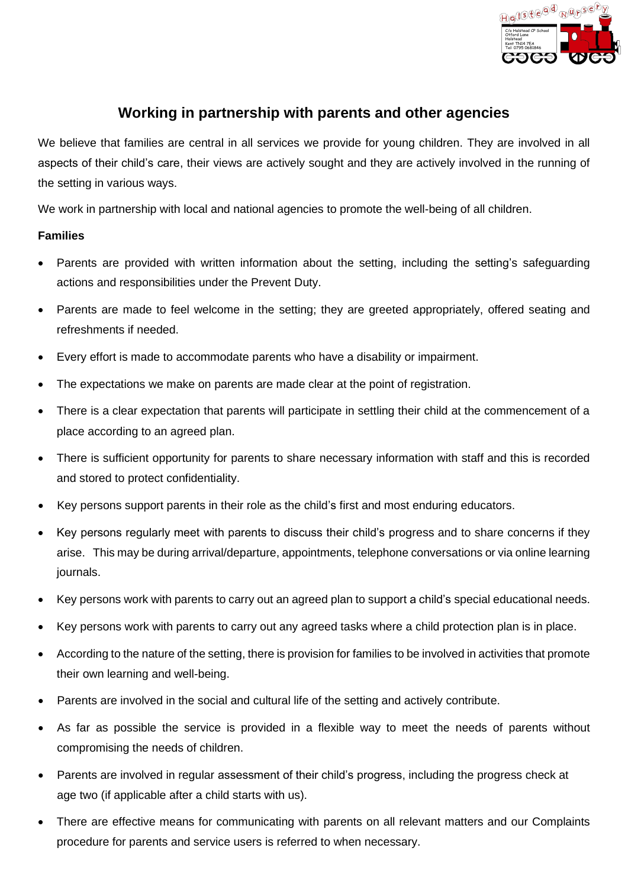

## **Working in partnership with parents and other agencies**

We believe that families are central in all services we provide for young children. They are involved in all aspects of their child's care, their views are actively sought and they are actively involved in the running of the setting in various ways.

We work in partnership with local and national agencies to promote the well-being of all children.

## **Families**

- Parents are provided with written information about the setting, including the setting's safeguarding actions and responsibilities under the Prevent Duty.
- Parents are made to feel welcome in the setting; they are greeted appropriately, offered seating and refreshments if needed.
- Every effort is made to accommodate parents who have a disability or impairment.
- The expectations we make on parents are made clear at the point of registration.
- There is a clear expectation that parents will participate in settling their child at the commencement of a place according to an agreed plan.
- There is sufficient opportunity for parents to share necessary information with staff and this is recorded and stored to protect confidentiality.
- Key persons support parents in their role as the child's first and most enduring educators.
- Key persons regularly meet with parents to discuss their child's progress and to share concerns if they arise. This may be during arrival/departure, appointments, telephone conversations or via online learning journals.
- Key persons work with parents to carry out an agreed plan to support a child's special educational needs.
- Key persons work with parents to carry out any agreed tasks where a child protection plan is in place.
- According to the nature of the setting, there is provision for families to be involved in activities that promote their own learning and well-being.
- Parents are involved in the social and cultural life of the setting and actively contribute.
- As far as possible the service is provided in a flexible way to meet the needs of parents without compromising the needs of children.
- Parents are involved in regular assessment of their child's progress, including the progress check at age two (if applicable after a child starts with us).
- There are effective means for communicating with parents on all relevant matters and our Complaints procedure for parents and service users is referred to when necessary.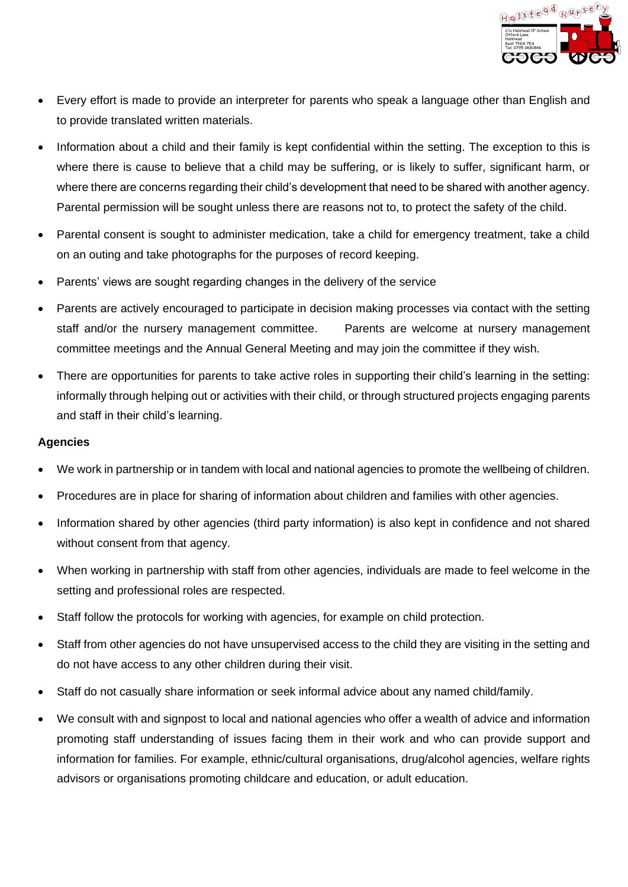

- Every effort is made to provide an interpreter for parents who speak a language other than English and to provide translated written materials.
- Information about a child and their family is kept confidential within the setting. The exception to this is where there is cause to believe that a child may be suffering, or is likely to suffer, significant harm, or where there are concerns regarding their child's development that need to be shared with another agency. Parental permission will be sought unless there are reasons not to, to protect the safety of the child.
- Parental consent is sought to administer medication, take a child for emergency treatment, take a child on an outing and take photographs for the purposes of record keeping.
- Parents' views are sought regarding changes in the delivery of the service
- Parents are actively encouraged to participate in decision making processes via contact with the setting staff and/or the nursery management committee. Parents are welcome at nursery management committee meetings and the Annual General Meeting and may join the committee if they wish.
- There are opportunities for parents to take active roles in supporting their child's learning in the setting: informally through helping out or activities with their child, or through structured projects engaging parents and staff in their child's learning.

## **Agencies**

- We work in partnership or in tandem with local and national agencies to promote the wellbeing of children.
- Procedures are in place for sharing of information about children and families with other agencies.
- Information shared by other agencies (third party information) is also kept in confidence and not shared without consent from that agency.
- When working in partnership with staff from other agencies, individuals are made to feel welcome in the setting and professional roles are respected.
- Staff follow the protocols for working with agencies, for example on child protection.
- Staff from other agencies do not have unsupervised access to the child they are visiting in the setting and do not have access to any other children during their visit.
- Staff do not casually share information or seek informal advice about any named child/family.
- We consult with and signpost to local and national agencies who offer a wealth of advice and information promoting staff understanding of issues facing them in their work and who can provide support and information for families. For example, ethnic/cultural organisations, drug/alcohol agencies, welfare rights advisors or organisations promoting childcare and education, or adult education.